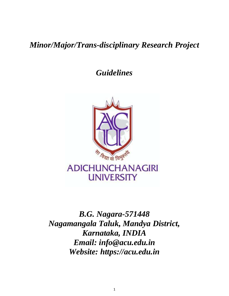# *Minor/Major/Trans-disciplinary Research Project*

*Guidelines*



*B.G. Nagara-571448 Nagamangala Taluk, Mandya District, Karnataka, INDIA Email: info@acu.edu.in Website: https://acu.edu.in*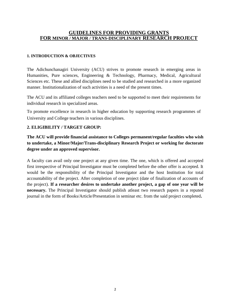# **GUIDELINES FOR PROVIDING GRANTS FOR MINOR / MAJOR / TRANS-DISCIPLINARY RESEARCH PROJECT**

#### **1. INTRODUCTION & OBJECTIVES**

The Adichunchanagiri University (ACU) strives to promote research in emerging areas in Humanities, Pure sciences, Engineering & Technology, Pharmacy, Medical, Agricultural Sciences etc. These and allied disciplines need to be studied and researched in a more organized manner. Institutionalization of such activities is a need of the present times.

The ACU and its affiliated colleges teachers need to be supported to meet their requirements for individual research in specialized areas.

To promote excellence in research in higher education by supporting research programmes of University and College teachers in various disciplines.

#### **2. ELIGIBILITY / TARGET GROUP:**

**The ACU will provide financial assistance to Colleges permanent/regular faculties who wish to undertake, a Minor/Major/Trans-disciplinary Research Project or working for doctorate degree under an approved supervisor.**

A faculty can avail only one project at any given time. The one, which is offered and accepted first irrespective of Principal Investigator must be completed before the other offer is accepted. It would be the responsibility of the Principal Investigator and the host Institution for total accountability of the project. After completion of one project (date of finalization of accounts of the project). **If a researcher desires to undertake another project, a gap of one year will be necessary.** The Principal Investigator should publish atleast two research papers in a reputed journal in the form of Books/Article/Presentation in seminar etc. from the said project completed**.**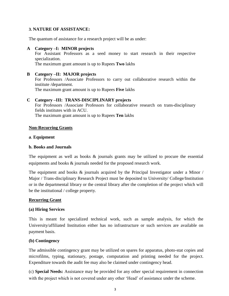#### **3. NATURE OF ASSISTANCE:**

The quantum of assistance for a research project will be as under:

#### **A Category –I: MINOR projects**

For Assistant Professors as a seed money to start research in their respective specialization.

The maximum grant amount is up to Rupees **Two** lakhs

# **B Category –II: MAJOR projects** For Professors /Associate Professors to carry out collaborative research within the institute /department. The maximum grant amount is up to Rupees **Five** lakhs

#### **C Category –III: TRANS-DISCIPLINARY projects**

For Professors /Associate Professors for collaborative research on trans-disciplinary fields institutes with in ACU. The maximum grant amount is up to Rupees **Ten** lakhs

#### **Non-Recurring Grants**

#### **a**. **Equipment**

#### **b. Books and Journals**

The equipment as well as books  $\&$  journals grants may be utilized to procure the essential equipments and books & journals needed for the proposed research work.

The equipment and books & journals acquired by the Principal Investigator under a Minor / Major / Trans-disciplinary Research Project must be deposited to University/ College/Institution or in the departmental library or the central library after the completion of the project which will be the institutional / college property.

#### **Recurring Grant**

#### **(a) Hiring Services**

This is meant for specialized technical work, such as sample analysis, for which the University/affiliated Institution either has no infrastructure or such services are available on payment basis.

#### **(b) Contingency**

The admissible contingency grant may be utilized on spares for apparatus, photo-stat copies and microfilms, typing, stationary, postage, computation and printing needed for the project. Expenditure towards the audit fee may also be claimed under contingency head.

(c) **Special Needs:** Assistance may be provided for any other special requirement in connection with the project which is not covered under any other 'Head' of assistance under the scheme.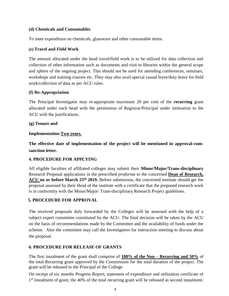#### **(d) Chemicals and Consumables**

To meet expenditure on chemicals, glassware and other consumable items.

#### **(e) Travel and Field Work**

The amount allocated under the head travel/field work is to be utilized for data collection and collection of other information such as documents and visit to libraries within the general scope and sphere of the ongoing project. This should not be used for attending conferences, seminars, workshops and training courses etc. They may also avail special casual leave/duty leave for field work/collection of data as per ACU rules.

#### **(f) Re-Appropriation**

The Principal Investigator may re-appropriate maximum 20 per cent of the **recurring** grant allocated under each head with the permission of Registrar/Principal under intimation to the ACU with the justifications.

#### **(g) Tenure and**

#### **Implementation Two years.**

**The effective date of implementation of the project will be mentioned in approval-cumsanction letter.**

#### **4. PROCEDURE FOR APPLYING**

All eligible faculties of affiliated colleges may submit their **Minor/Major/Trans-disciplinary** Research Proposal applications in the prescribed *proforma* to the concerned **Dean of Research,** ACU on or before March 25<sup>th</sup> 2019. Before submission, the concerned institute should get the proposal assessed by their Head of the institute with a certificate that the proposed research work is in conformity with the Minor/Major/ Trans-disciplinary Research Project guidelines.

#### **5. PROCEDURE FOR APPROVAL**

The received proposals duly forwarded by the Colleges will be assessed with the help of a subject expert committee constituted by the ACU. The final decision will be taken by the ACU on the basis of recommendations made by the Committee and the availability of funds under the scheme. Also the committee may call the Investigators for interaction meeting to discuss about the proposal.

#### **6. PROCEDURE FOR RELEASE OF GRANTS**

The first instalment of the grant shall comprise of **100% of the Non – Recurring and 50%** of the total Recurring grant approved by the Commission for the total duration of the project. The grant will be released to the Principal of the College.

On receipt of six months Progress Report, statement of expenditure and utilization certificate of 1<sup>st</sup> instalment of grant, the 40% of the total recurring grant will be released as second instalment.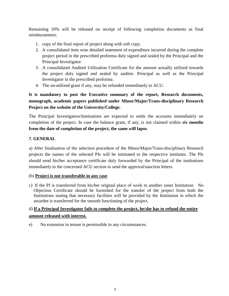Remaining 10% will be released on receipt of following completion documents as final reimbursement:

- 1. copy of the final report of project along with soft copy.
- 2. A consolidated item wise detailed statement of expenditure incurred during the complete project period in the prescribed proforma duly signed and sealed by the Principal and the Principal Investigator
- 3. A consolidated Audited Utilization Certificate for the amount actually utilized towards the project duly signed and sealed by auditor. Principal as well as the Principal Investigator in the prescribed proforma.
- 4. The un-utilized grant if any, may be refunded immediately to ACU.

# **It is mandatory to post the Executive summary of the report, Research documents, monograph, academic papers published under Minor/Major/Trans-disciplinary Research Project on the website of the University/College.**

The Principal Investigators/Institutions are expected to settle the accounts immediately on completion of the project. In case the balance grant, if any, is not claimed within *six* **months from the date of completion of the project, the same will lapse.**

# **7. GENERAL**

a) After finalisation of the selection procedure of the Minor/Major/Trans-disciplinary Research projects the names of the selected PIs will be intimated to the respective institutes. The PIs should send his/her acceptance certificate duly forwarded by the Principal of the institutions immediately to the concerned ACU section to send the approval/sanction letters.

#### (b) **Project is not transferable in any case**.

c) If the PI is transferred from his/her original place of work to another sister Institution No Objection Certificate should be furnished for the transfer of the project from both the Institutions stating that necessary facilities will be provided by the Institution in which the awardee is transferred for the smooth functioning of the project.

# d) **If a Principal Investigator fails to complete the project, he/she has to refund the entire amount released with interest.**

e) No extension in tenure is permissible in any circumstances.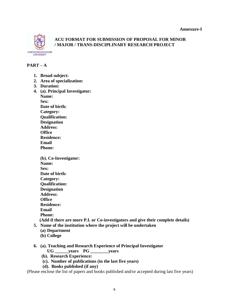

# **ACU FORMAT FOR SUBMISSION OF PROPOSAL FOR MINOR / MAJOR / TRANS-DISCIPLINARY RESEARCH PROJECT**

# **PART – A**

- **1. Broad subject:**
- **2. Area of specialization:**
- **3. Duration:**
- **4. (a). Principal Investigator: Name: Sex: Date of birth: Category: Qualification: Designation Address: Office**
	- **Residence: Email**
	- **Phone:**

**(b). Co-Investigator: Name: Sex: Date of birth: Category: Qualification: Designation Address: Office Residence: Email Phone: (Add if there are more P.I. or Co-investigators and give their complete details)**

- **5. Name of the institution where the project will be undertaken**
	- **(a) Department**
	- **(b) College**
- **6. (a). Teaching and Research Experience of Principal Investigator**
	- **UG \_\_\_\_\_\_years PG \_\_\_\_\_\_\_\_years**
	- **(b). Research Experience:**
	- **(c). Number of publications (in the last five years)**
	- **(d). Books published (if any)**

(Please enclose the list of papers and books published and/or accepted during last five years)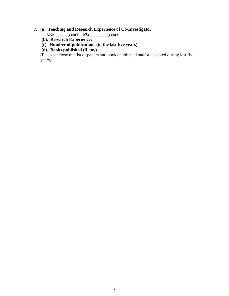### **7. (a). Teaching and Research Experience of Co-Investigator**

- **UG \_\_\_\_\_\_years PG \_\_\_\_\_\_\_\_years**
- **(b). Research Experience:**
- **(c). Number of publications (in the last five years)**
- **(d). Books published (if any)**

(Please enclose the list of papers and books published and/or accepted during last five years)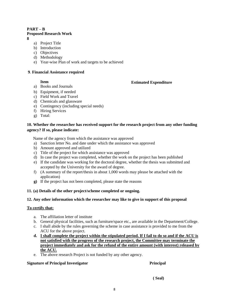#### **PART – B**

#### **Proposed Research Work**

**8** 

- a) Project Title
- b) Introduction
- c) Objectives
- d) Methodology
- e) Year-wise Plan of work and targets to be achieved

#### **9**. **Financial Assistance required**

#### **Item**

#### **Estimated Expenditure**

- a) Books and Journals
- b) Equipment, if needed
- c) Field Work and Travel
- d) Chemicals and glassware
- e) Contingency (including special needs)
- f) Hiring Services
- g) Total:

#### **10. Whether the researcher has received support for the research project from any other funding agency? If so, please indicate:**

Name of the agency from which the assistance was approved

- a) Sanction letter No. and date under which the assistance was approved
- b) Amount approved and utilized
- c) Title of the project for which assistance was approved
- d) In case the project was completed, whether the work on the project has been published
- e) If the candidate was working for the doctoral degree, whether the thesis was submitted and accepted by the University for the award of degree.
- f) (A summary of the report/thesis in about 1,000 words may please be attached with the application)
- **g)** If the project has not been completed, please state the reasons

#### **11. (a) Details of the other project/scheme completed or ongoing.**

#### **12. Any other information which the researcher may like to give in support of this proposal**

#### **To certify that:**

- a. The affiliation letter of institute
- b. General physical facilities, such as furniture/space etc., are available in the Department/College.
- c. I shall abide by the rules governing the scheme in case assistance is provided to me from the ACU for the above project.
- **d. I shall complete the project within the stipulated period. If I fail to do so and if the ACU is not satisfied with the progress of the research project, the Committee may terminate the project immediately and ask for the refund of the entire amount (with interest) released by the ACU.**
- e. The above research Project is not funded by any other agency.

#### **Signature of Principal Investigator Principal**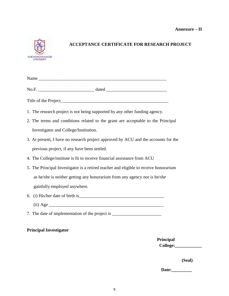

# **ACCEPTANCE CERTIFICATE FOR RESEARCH PROJECT**

| 1. The research project is not being supported by any other funding agency.           |           |
|---------------------------------------------------------------------------------------|-----------|
| 2. The terms and conditions related to the grant are acceptable to the Principal      |           |
| Investigator and College/Institution.                                                 |           |
| 3. At present, I have no research project approved by ACU and the accounts for the    |           |
| previous project, if any have been settled.                                           |           |
| 4. The College/institute is fit to receive financial assistance from ACU              |           |
| 5. The Principal Investigator is a retired teacher and eligible to receive honorarium |           |
| as he/she is neither getting any honorarium from any agency nor is he/she             |           |
| gainfully employed anywhere.                                                          |           |
|                                                                                       |           |
|                                                                                       |           |
| 7. The date of implementation of the project is ________________________________      |           |
| <b>Principal Investigator</b>                                                         |           |
|                                                                                       | Principal |
|                                                                                       | College:  |

**(Seal)**

**Date:\_\_\_\_\_\_\_\_\_**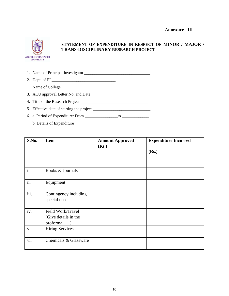

# **STATEMENT OF EXPENDITURE IN RESPECT OF MINOR / MAJOR / TRANS-DISCIPLINARY RESEARCH PROJECT**

| 2. Dept. of PI $\overline{\phantom{a}}$ |
|-----------------------------------------|
|                                         |
|                                         |
|                                         |
|                                         |
|                                         |
|                                         |

| S.No.          | <b>Item</b>                                                            | <b>Amount Approved</b><br>(Rs.) | <b>Expenditure Incurred</b><br>(Rs.) |
|----------------|------------------------------------------------------------------------|---------------------------------|--------------------------------------|
| $\mathbf{i}$ . | Books & Journals                                                       |                                 |                                      |
| ii.            | Equipment                                                              |                                 |                                      |
| iii.           | Contingency including<br>special needs                                 |                                 |                                      |
| iv.            | Field Work/Travel<br>(Give details in the<br>proforma<br>$\mathcal{L}$ |                                 |                                      |
| V.             | <b>Hiring Services</b>                                                 |                                 |                                      |
| vi.            | Chemicals & Glassware                                                  |                                 |                                      |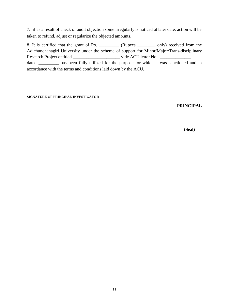7. if as a result of check or audit objection some irregularly is noticed at later date, action will be taken to refund, adjust or regularize the objected amounts.

8. It is certified that the grant of Rs. \_\_\_\_\_\_\_\_\_ (Rupees \_\_\_\_\_\_\_\_ only) received from the Adichunchanagiri University under the scheme of support for Minor/Major/Trans-disciplinary Research Project entitled \_\_\_\_\_\_\_\_\_\_\_\_\_\_\_\_\_\_\_\_\_ vide ACU letter No. \_\_\_\_\_\_\_\_\_\_\_\_\_\_ dated \_\_\_\_\_\_\_\_ has been fully utilized for the purpose for which it was sanctioned and in accordance with the terms and conditions laid down by the ACU.

#### **SIGNATURE OF PRINCIPAL INVESTIGATOR**

#### **PRINCIPAL**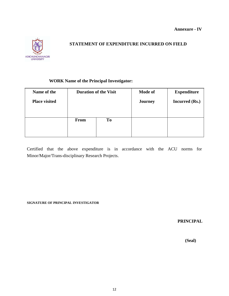

# **STATEMENT OF EXPENDITURE INCURRED ON FIELD**

# **WORK Name of the Principal Investigator:**

| Name of the          | <b>Duration of the Visit</b> |    | <b>Mode of</b> | <b>Expenditure</b>    |
|----------------------|------------------------------|----|----------------|-----------------------|
| <b>Place visited</b> |                              |    | <b>Journey</b> | <b>Incurred</b> (Rs.) |
|                      |                              |    |                |                       |
|                      |                              |    |                |                       |
|                      | <b>From</b>                  | To |                |                       |
|                      |                              |    |                |                       |
|                      |                              |    |                |                       |

Certified that the above expenditure is in accordance with the ACU norms for Minor/Major/Trans-disciplinary Research Projects.

**SIGNATURE OF PRINCIPAL INVESTIGATOR**

**PRINCIPAL**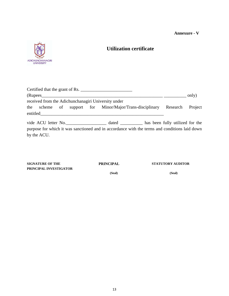#### **Annexure - V**



# **Utilization certificate**

|                                                                                                                                                                                                                                      |  | Certified that the grant of Rs.                                                               |  |       |
|--------------------------------------------------------------------------------------------------------------------------------------------------------------------------------------------------------------------------------------|--|-----------------------------------------------------------------------------------------------|--|-------|
|                                                                                                                                                                                                                                      |  |                                                                                               |  | only) |
| received from the Adichunchanagiri University under                                                                                                                                                                                  |  |                                                                                               |  |       |
|                                                                                                                                                                                                                                      |  | the scheme of support for Minor/Major/Trans-disciplinary Research Project                     |  |       |
| entitled <b>Executive Contract Contract Contract Contract Contract Contract Contract Contract Contract Contract Contract Contract Contract Contract Contract Contract Contract Contract Contract Contract Contract Contract Cont</b> |  |                                                                                               |  |       |
|                                                                                                                                                                                                                                      |  |                                                                                               |  |       |
|                                                                                                                                                                                                                                      |  | purpose for which it was sanctioned and in accordance with the terms and conditions laid down |  |       |
| by the ACU.                                                                                                                                                                                                                          |  |                                                                                               |  |       |
|                                                                                                                                                                                                                                      |  |                                                                                               |  |       |

| <b>SIGNATURE OF THE</b> | <b>PRINCIPAL</b> | <b>STATUTORY AUDITOR</b> |
|-------------------------|------------------|--------------------------|
| PRINCIPAL INVESTIGATOR  |                  |                          |
|                         | (Seal)           | (Seal)                   |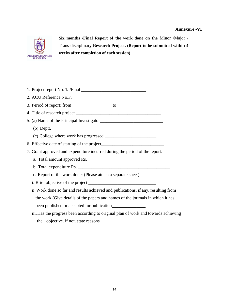#### **Annexure -VI**



**Six months /Final Report of the work done on the** Minor /Major / Trans-disciplinary **Research Project. (Report to be submitted within 4 weeks after completion of each session)**

| 7. Grant approved and expenditure incurred during the period of the report:         |
|-------------------------------------------------------------------------------------|
|                                                                                     |
|                                                                                     |
| c. Report of the work done: (Please attach a separate sheet)                        |
|                                                                                     |
| ii. Work done so far and results achieved and publications, if any, resulting from  |
| the work (Give details of the papers and names of the journals in which it has      |
|                                                                                     |
| iii. Has the progress been according to original plan of work and towards achieving |
| the objective. if not, state reasons                                                |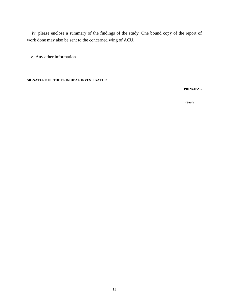iv. please enclose a summary of the findings of the study. One bound copy of the report of work done may also be sent to the concerned wing of ACU.

v. Any other information

**SIGNATURE OF THE PRINCIPAL INVESTIGATOR**

**PRINCIPAL**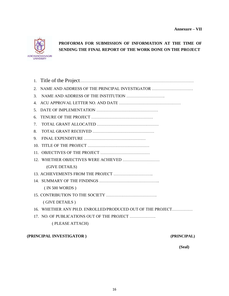

# **PROFORMA FOR SUBMISSION OF INFORMATION AT THE TIME OF SENDING THE FINAL REPORT OF THE WORK DONE ON THE PROJECT**

| 2.                                    | NAME AND ADDRESS OF THE PRINCIPAL INVESTIGATOR             |
|---------------------------------------|------------------------------------------------------------|
| 3.                                    |                                                            |
| $\mathbf{4}$ .                        |                                                            |
| 5.                                    |                                                            |
| 6.                                    |                                                            |
| $7_{\scriptscriptstyle{\ddot{\sim}}}$ |                                                            |
| 8.                                    |                                                            |
| 9.                                    |                                                            |
|                                       |                                                            |
|                                       |                                                            |
|                                       |                                                            |
|                                       | (GIVE DETAILS)                                             |
|                                       |                                                            |
|                                       |                                                            |
|                                       | (IN 500 WORDS)                                             |
|                                       |                                                            |
|                                       | (GIVE DETAILS)                                             |
|                                       | 16. WHETHER ANY PH.D. ENROLLED/PRODUCED OUT OF THE PROJECT |
|                                       | 17. NO. OF PUBLICATIONS OUT OF THE PROJECT                 |
|                                       | (PLEASE ATTACH)                                            |

#### **(PRINCIPAL INVESTIGATOR ) (PRINCIPAL)**